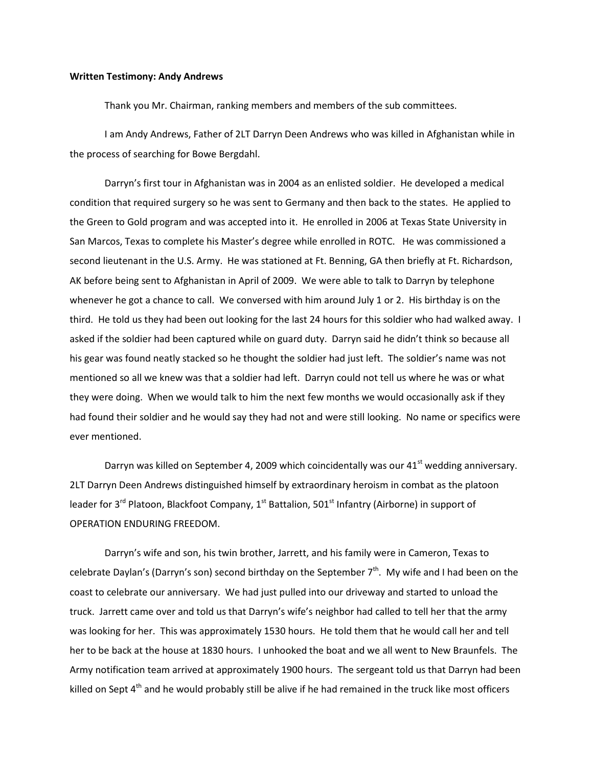## **Written Testimony: Andy Andrews**

Thank you Mr. Chairman, ranking members and members of the sub committees.

I am Andy Andrews, Father of 2LT Darryn Deen Andrews who was killed in Afghanistan while in the process of searching for Bowe Bergdahl.

Darryn's first tour in Afghanistan was in 2004 as an enlisted soldier. He developed a medical condition that required surgery so he was sent to Germany and then back to the states. He applied to the Green to Gold program and was accepted into it. He enrolled in 2006 at Texas State University in San Marcos, Texas to complete his Master's degree while enrolled in ROTC. He was commissioned a second lieutenant in the U.S. Army. He was stationed at Ft. Benning, GA then briefly at Ft. Richardson, AK before being sent to Afghanistan in April of 2009. We were able to talk to Darryn by telephone whenever he got a chance to call. We conversed with him around July 1 or 2. His birthday is on the third. He told us they had been out looking for the last 24 hours for this soldier who had walked away. I asked if the soldier had been captured while on guard duty. Darryn said he didn't think so because all his gear was found neatly stacked so he thought the soldier had just left. The soldier's name was not mentioned so all we knew was that a soldier had left. Darryn could not tell us where he was or what they were doing. When we would talk to him the next few months we would occasionally ask if they had found their soldier and he would say they had not and were still looking. No name or specifics were ever mentioned.

Darryn was killed on September 4, 2009 which coincidentally was our  $41<sup>st</sup>$  wedding anniversary. 2LT Darryn Deen Andrews distinguished himself by extraordinary heroism in combat as the platoon leader for 3<sup>rd</sup> Platoon, Blackfoot Company, 1<sup>st</sup> Battalion, 501<sup>st</sup> Infantry (Airborne) in support of OPERATION ENDURING FREEDOM.

Darryn's wife and son, his twin brother, Jarrett, and his family were in Cameron, Texas to celebrate Daylan's (Darryn's son) second birthday on the September 7<sup>th</sup>. My wife and I had been on the coast to celebrate our anniversary. We had just pulled into our driveway and started to unload the truck. Jarrett came over and told us that Darryn's wife's neighbor had called to tell her that the army was looking for her. This was approximately 1530 hours. He told them that he would call her and tell her to be back at the house at 1830 hours. I unhooked the boat and we all went to New Braunfels. The Army notification team arrived at approximately 1900 hours. The sergeant told us that Darryn had been killed on Sept  $4<sup>th</sup>$  and he would probably still be alive if he had remained in the truck like most officers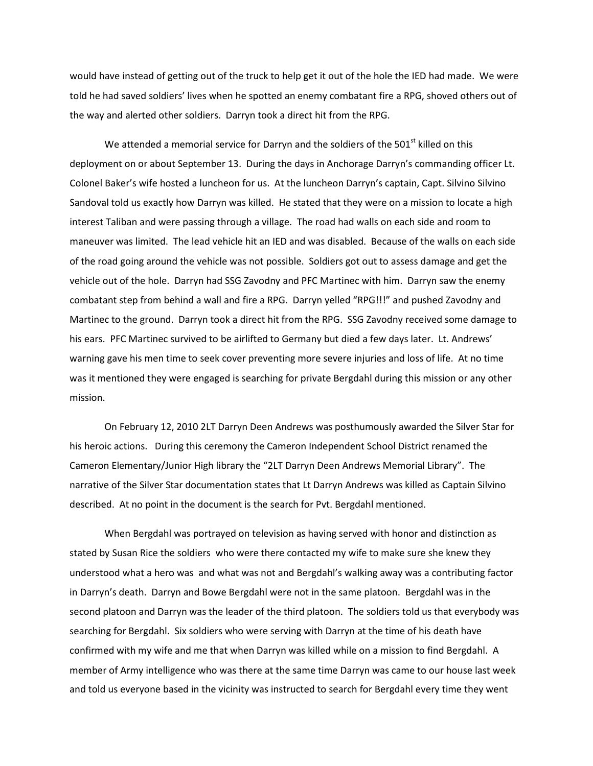would have instead of getting out of the truck to help get it out of the hole the IED had made. We were told he had saved soldiers' lives when he spotted an enemy combatant fire a RPG, shoved others out of the way and alerted other soldiers. Darryn took a direct hit from the RPG.

We attended a memorial service for Darryn and the soldiers of the  $501<sup>st</sup>$  killed on this deployment on or about September 13. During the days in Anchorage Darryn's commanding officer Lt. Colonel Baker's wife hosted a luncheon for us. At the luncheon Darryn's captain, Capt. Silvino Silvino Sandoval told us exactly how Darryn was killed. He stated that they were on a mission to locate a high interest Taliban and were passing through a village. The road had walls on each side and room to maneuver was limited. The lead vehicle hit an IED and was disabled. Because of the walls on each side of the road going around the vehicle was not possible. Soldiers got out to assess damage and get the vehicle out of the hole. Darryn had SSG Zavodny and PFC Martinec with him. Darryn saw the enemy combatant step from behind a wall and fire a RPG. Darryn yelled "RPG!!!" and pushed Zavodny and Martinec to the ground. Darryn took a direct hit from the RPG. SSG Zavodny received some damage to his ears. PFC Martinec survived to be airlifted to Germany but died a few days later. Lt. Andrews' warning gave his men time to seek cover preventing more severe injuries and loss of life. At no time was it mentioned they were engaged is searching for private Bergdahl during this mission or any other mission.

On February 12, 2010 2LT Darryn Deen Andrews was posthumously awarded the Silver Star for his heroic actions. During this ceremony the Cameron Independent School District renamed the Cameron Elementary/Junior High library the "2LT Darryn Deen Andrews Memorial Library". The narrative of the Silver Star documentation states that Lt Darryn Andrews was killed as Captain Silvino described. At no point in the document is the search for Pvt. Bergdahl mentioned.

When Bergdahl was portrayed on television as having served with honor and distinction as stated by Susan Rice the soldiers who were there contacted my wife to make sure she knew they understood what a hero was and what was not and Bergdahl's walking away was a contributing factor in Darryn's death. Darryn and Bowe Bergdahl were not in the same platoon. Bergdahl was in the second platoon and Darryn was the leader of the third platoon. The soldiers told us that everybody was searching for Bergdahl. Six soldiers who were serving with Darryn at the time of his death have confirmed with my wife and me that when Darryn was killed while on a mission to find Bergdahl. A member of Army intelligence who was there at the same time Darryn was came to our house last week and told us everyone based in the vicinity was instructed to search for Bergdahl every time they went